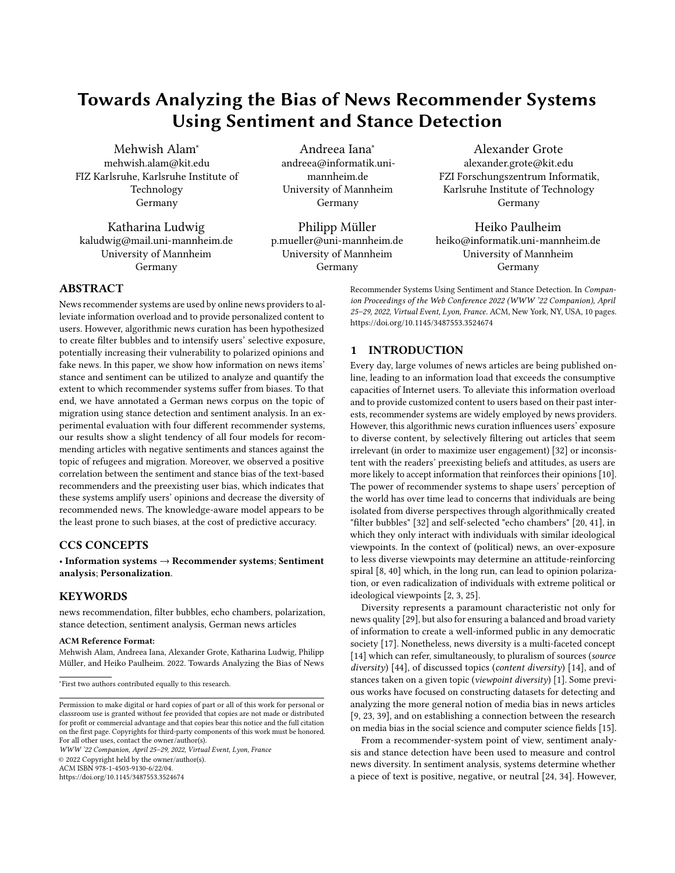# Towards Analyzing the Bias of News Recommender Systems Using Sentiment and Stance Detection

Mehwish Alam<sup>∗</sup> mehwish.alam@kit.edu FIZ Karlsruhe, Karlsruhe Institute of Technology Germany

Katharina Ludwig kaludwig@mail.uni-mannheim.de University of Mannheim Germany

Andreea Iana<sup>∗</sup> andreea@informatik.unimannheim.de University of Mannheim Germany

Philipp Müller p.mueller@uni-mannheim.de University of Mannheim Germany

Alexander Grote alexander.grote@kit.edu FZI Forschungszentrum Informatik, Karlsruhe Institute of Technology Germany

Heiko Paulheim heiko@informatik.uni-mannheim.de University of Mannheim Germany

Recommender Systems Using Sentiment and Stance Detection. In Companion Proceedings of the Web Conference 2022 (WWW '22 Companion), April 25–29, 2022, Virtual Event, Lyon, France. ACM, New York, NY, USA, [10](#page-9-0) pages. <https://doi.org/10.1145/3487553.3524674>

## 1 INTRODUCTION

Every day, large volumes of news articles are being published online, leading to an information load that exceeds the consumptive capacities of Internet users. To alleviate this information overload and to provide customized content to users based on their past interests, recommender systems are widely employed by news providers. However, this algorithmic news curation influences users' exposure to diverse content, by selectively filtering out articles that seem irrelevant (in order to maximize user engagement) [\[32\]](#page-8-0) or inconsistent with the readers' preexisting beliefs and attitudes, as users are more likely to accept information that reinforces their opinions [\[10\]](#page-8-1). The power of recommender systems to shape users' perception of the world has over time lead to concerns that individuals are being isolated from diverse perspectives through algorithmically created "filter bubbles" [\[32\]](#page-8-0) and self-selected "echo chambers" [\[20,](#page-8-2) [41\]](#page-8-3), in which they only interact with individuals with similar ideological viewpoints. In the context of (political) news, an over-exposure to less diverse viewpoints may determine an attitude-reinforcing spiral [\[8,](#page-8-4) [40\]](#page-8-5) which, in the long run, can lead to opinion polarization, or even radicalization of individuals with extreme political or ideological viewpoints [\[2,](#page-7-0) [3,](#page-7-1) [25\]](#page-8-6).

Diversity represents a paramount characteristic not only for news quality [\[29\]](#page-8-7), but also for ensuring a balanced and broad variety of information to create a well-informed public in any democratic society [\[17\]](#page-8-8). Nonetheless, news diversity is a multi-faceted concept [\[14\]](#page-8-9) which can refer, simultaneously, to pluralism of sources (source diversity) [\[44\]](#page-8-10), of discussed topics (content diversity) [\[14\]](#page-8-9), and of stances taken on a given topic (viewpoint diversity) [\[1\]](#page-7-2). Some previous works have focused on constructing datasets for detecting and analyzing the more general notion of media bias in news articles [\[9,](#page-8-11) [23,](#page-8-12) [39\]](#page-8-13), and on establishing a connection between the research on media bias in the social science and computer science fields [\[15\]](#page-8-14).

From a recommender-system point of view, sentiment analysis and stance detection have been used to measure and control news diversity. In sentiment analysis, systems determine whether a piece of text is positive, negative, or neutral [\[24,](#page-8-15) [34\]](#page-8-16). However,

## ABSTRACT

News recommender systems are used by online news providers to alleviate information overload and to provide personalized content to users. However, algorithmic news curation has been hypothesized to create filter bubbles and to intensify users' selective exposure, potentially increasing their vulnerability to polarized opinions and fake news. In this paper, we show how information on news items' stance and sentiment can be utilized to analyze and quantify the extent to which recommender systems suffer from biases. To that end, we have annotated a German news corpus on the topic of migration using stance detection and sentiment analysis. In an experimental evaluation with four different recommender systems, our results show a slight tendency of all four models for recommending articles with negative sentiments and stances against the topic of refugees and migration. Moreover, we observed a positive correlation between the sentiment and stance bias of the text-based recommenders and the preexisting user bias, which indicates that these systems amplify users' opinions and decrease the diversity of recommended news. The knowledge-aware model appears to be the least prone to such biases, at the cost of predictive accuracy.

# CCS CONCEPTS

• Information systems  $\rightarrow$  Recommender systems; Sentiment analysis; Personalization.

## **KEYWORDS**

news recommendation, filter bubbles, echo chambers, polarization, stance detection, sentiment analysis, German news articles

#### ACM Reference Format:

Mehwish Alam, Andreea Iana, Alexander Grote, Katharina Ludwig, Philipp Müller, and Heiko Paulheim. 2022. Towards Analyzing the Bias of News

WWW '22 Companion, April 25–29, 2022, Virtual Event, Lyon, France © 2022 Copyright held by the owner/author(s). ACM ISBN 978-1-4503-9130-6/22/04.

<https://doi.org/10.1145/3487553.3524674>

<sup>∗</sup> First two authors contributed equally to this research.

Permission to make digital or hard copies of part or all of this work for personal or classroom use is granted without fee provided that copies are not made or distributed for profit or commercial advantage and that copies bear this notice and the full citation on the first page. Copyrights for third-party components of this work must be honored. For all other uses, contact the owner/author(s).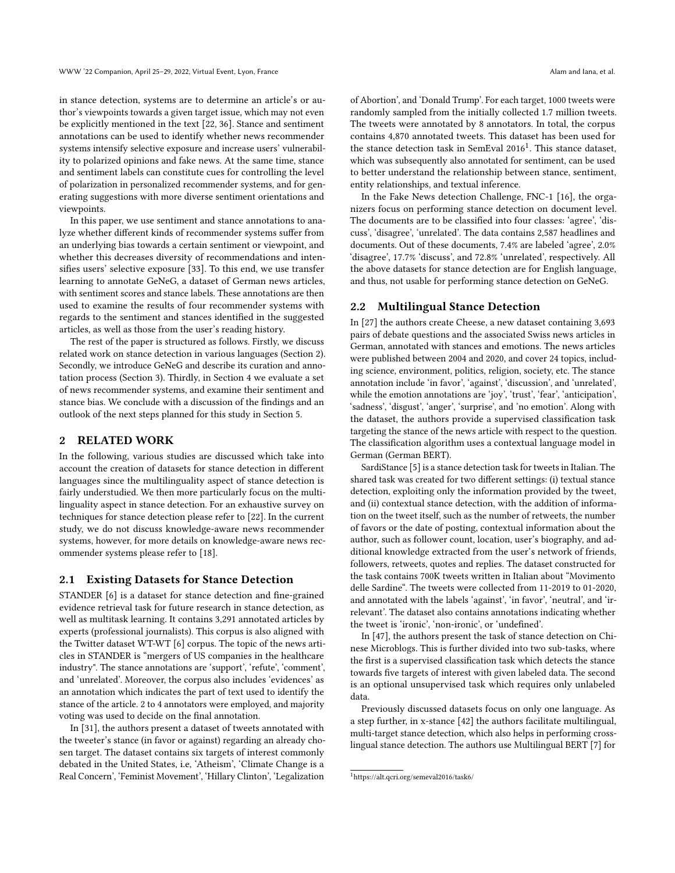in stance detection, systems are to determine an article's or author's viewpoints towards a given target issue, which may not even be explicitly mentioned in the text [\[22,](#page-8-17) [36\]](#page-8-18). Stance and sentiment annotations can be used to identify whether news recommender systems intensify selective exposure and increase users' vulnerability to polarized opinions and fake news. At the same time, stance and sentiment labels can constitute cues for controlling the level of polarization in personalized recommender systems, and for generating suggestions with more diverse sentiment orientations and viewpoints.

In this paper, we use sentiment and stance annotations to analyze whether different kinds of recommender systems suffer from an underlying bias towards a certain sentiment or viewpoint, and whether this decreases diversity of recommendations and intensifies users' selective exposure [\[33\]](#page-8-19). To this end, we use transfer learning to annotate GeNeG, a dataset of German news articles, with sentiment scores and stance labels. These annotations are then used to examine the results of four recommender systems with regards to the sentiment and stances identified in the suggested articles, as well as those from the user's reading history.

The rest of the paper is structured as follows. Firstly, we discuss related work on stance detection in various languages (Section [2\)](#page-1-0). Secondly, we introduce GeNeG and describe its curation and annotation process (Section [3\)](#page-2-0). Thirdly, in Section [4](#page-3-0) we evaluate a set of news recommender systems, and examine their sentiment and stance bias. We conclude with a discussion of the findings and an outlook of the next steps planned for this study in Section [5.](#page-7-3)

## <span id="page-1-0"></span>2 RELATED WORK

In the following, various studies are discussed which take into account the creation of datasets for stance detection in different languages since the multilinguality aspect of stance detection is fairly understudied. We then more particularly focus on the multilinguality aspect in stance detection. For an exhaustive survey on techniques for stance detection please refer to [\[22\]](#page-8-17). In the current study, we do not discuss knowledge-aware news recommender systems, however, for more details on knowledge-aware news recommender systems please refer to [\[18\]](#page-8-20).

#### 2.1 Existing Datasets for Stance Detection

STANDER [\[6\]](#page-8-21) is a dataset for stance detection and fine-grained evidence retrieval task for future research in stance detection, as well as multitask learning. It contains 3,291 annotated articles by experts (professional journalists). This corpus is also aligned with the Twitter dataset WT-WT [\[6\]](#page-8-21) corpus. The topic of the news articles in STANDER is "mergers of US companies in the healthcare industry". The stance annotations are 'support', 'refute', 'comment', and 'unrelated'. Moreover, the corpus also includes 'evidences' as an annotation which indicates the part of text used to identify the stance of the article. 2 to 4 annotators were employed, and majority voting was used to decide on the final annotation.

In [\[31\]](#page-8-22), the authors present a dataset of tweets annotated with the tweeter's stance (in favor or against) regarding an already chosen target. The dataset contains six targets of interest commonly debated in the United States, i.e, 'Atheism', 'Climate Change is a Real Concern', 'Feminist Movement', 'Hillary Clinton', 'Legalization

of Abortion', and 'Donald Trump'. For each target, 1000 tweets were randomly sampled from the initially collected 1.7 million tweets. The tweets were annotated by 8 annotators. In total, the corpus contains 4,870 annotated tweets. This dataset has been used for the stance detection task in SemEval 20[1](#page-1-1)6<sup>1</sup>. This stance dataset, which was subsequently also annotated for sentiment, can be used to better understand the relationship between stance, sentiment, entity relationships, and textual inference.

In the Fake News detection Challenge, FNC-1 [\[16\]](#page-8-23), the organizers focus on performing stance detection on document level. The documents are to be classified into four classes: 'agree', 'discuss', 'disagree', 'unrelated'. The data contains 2,587 headlines and documents. Out of these documents, 7.4% are labeled 'agree', 2.0% 'disagree', 17.7% 'discuss', and 72.8% 'unrelated', respectively. All the above datasets for stance detection are for English language, and thus, not usable for performing stance detection on GeNeG.

## 2.2 Multilingual Stance Detection

In [\[27\]](#page-8-24) the authors create Cheese, a new dataset containing 3,693 pairs of debate questions and the associated Swiss news articles in German, annotated with stances and emotions. The news articles were published between 2004 and 2020, and cover 24 topics, including science, environment, politics, religion, society, etc. The stance annotation include 'in favor', 'against', 'discussion', and 'unrelated', while the emotion annotations are 'joy', 'trust', 'fear', 'anticipation', 'sadness', 'disgust', 'anger', 'surprise', and 'no emotion'. Along with the dataset, the authors provide a supervised classification task targeting the stance of the news article with respect to the question. The classification algorithm uses a contextual language model in German (German BERT).

SardiStance [\[5\]](#page-8-25) is a stance detection task for tweets in Italian. The shared task was created for two different settings: (i) textual stance detection, exploiting only the information provided by the tweet, and (ii) contextual stance detection, with the addition of information on the tweet itself, such as the number of retweets, the number of favors or the date of posting, contextual information about the author, such as follower count, location, user's biography, and additional knowledge extracted from the user's network of friends, followers, retweets, quotes and replies. The dataset constructed for the task contains 700K tweets written in Italian about "Movimento delle Sardine". The tweets were collected from 11-2019 to 01-2020, and annotated with the labels 'against', 'in favor', 'neutral', and 'irrelevant'. The dataset also contains annotations indicating whether the tweet is 'ironic', 'non-ironic', or 'undefined'.

In [\[47\]](#page-8-26), the authors present the task of stance detection on Chinese Microblogs. This is further divided into two sub-tasks, where the first is a supervised classification task which detects the stance towards five targets of interest with given labeled data. The second is an optional unsupervised task which requires only unlabeled data.

Previously discussed datasets focus on only one language. As a step further, in x-stance [\[42\]](#page-8-27) the authors facilitate multilingual, multi-target stance detection, which also helps in performing crosslingual stance detection. The authors use Multilingual BERT [\[7\]](#page-8-28) for

<span id="page-1-1"></span><sup>1</sup><https://alt.qcri.org/semeval2016/task6/>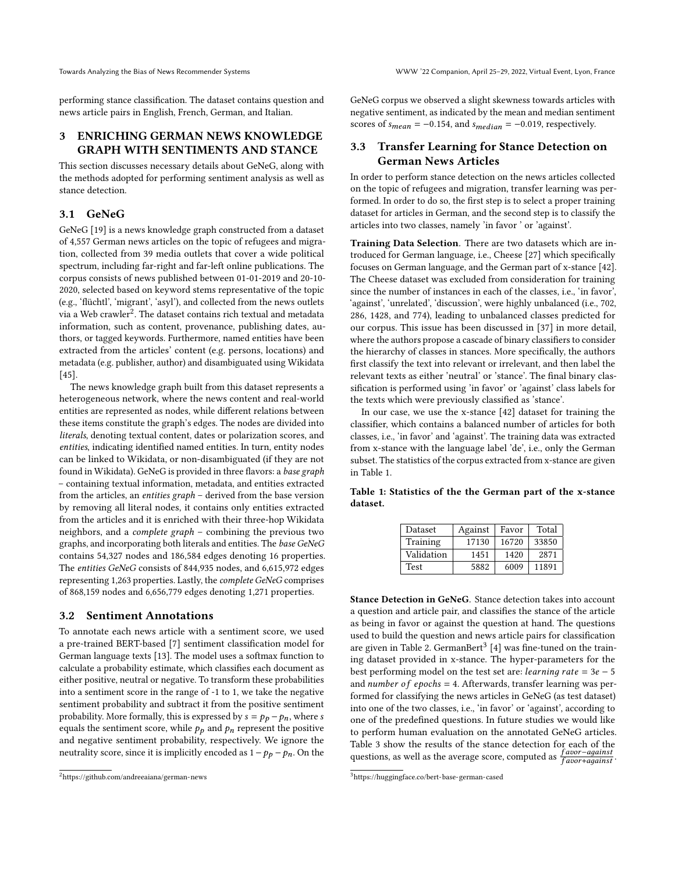performing stance classification. The dataset contains question and news article pairs in English, French, German, and Italian.

# <span id="page-2-0"></span>3 ENRICHING GERMAN NEWS KNOWLEDGE GRAPH WITH SENTIMENTS AND STANCE

This section discusses necessary details about GeNeG, along with the methods adopted for performing sentiment analysis as well as stance detection.

# <span id="page-2-4"></span>3.1 GeNeG

GeNeG [\[19\]](#page-8-29) is a news knowledge graph constructed from a dataset of 4,557 German news articles on the topic of refugees and migration, collected from 39 media outlets that cover a wide political spectrum, including far-right and far-left online publications. The corpus consists of news published between 01-01-2019 and 20-10- 2020, selected based on keyword stems representative of the topic (e.g., 'flüchtl', 'migrant', 'asyl'), and collected from the news outlets via a Web crawler<sup>[2](#page-2-1)</sup>. The dataset contains rich textual and metadata information, such as content, provenance, publishing dates, authors, or tagged keywords. Furthermore, named entities have been extracted from the articles' content (e.g. persons, locations) and metadata (e.g. publisher, author) and disambiguated using Wikidata [\[45\]](#page-8-30).

The news knowledge graph built from this dataset represents a heterogeneous network, where the news content and real-world entities are represented as nodes, while different relations between these items constitute the graph's edges. The nodes are divided into literals, denoting textual content, dates or polarization scores, and entities, indicating identified named entities. In turn, entity nodes can be linked to Wikidata, or non-disambiguated (if they are not found in Wikidata). GeNeG is provided in three flavors: a base graph – containing textual information, metadata, and entities extracted from the articles, an entities graph – derived from the base version by removing all literal nodes, it contains only entities extracted from the articles and it is enriched with their three-hop Wikidata neighbors, and a complete graph – combining the previous two graphs, and incorporating both literals and entities. The base GeNeG contains 54,327 nodes and 186,584 edges denoting 16 properties. The entities GeNeG consists of 844,935 nodes, and 6,615,972 edges representing 1,263 properties. Lastly, the complete GeNeG comprises of 868,159 nodes and 6,656,779 edges denoting 1,271 properties.

#### <span id="page-2-5"></span>3.2 Sentiment Annotations

To annotate each news article with a sentiment score, we used a pre-trained BERT-based [\[7\]](#page-8-28) sentiment classification model for German language texts [\[13\]](#page-8-31). The model uses a softmax function to calculate a probability estimate, which classifies each document as either positive, neutral or negative. To transform these probabilities into a sentiment score in the range of -1 to 1, we take the negative sentiment probability and subtract it from the positive sentiment probability. More formally, this is expressed by  $s = p_p - p_n$ , where s equals the sentiment score, while  $p_p$  and  $p_n$  represent the positive and negative sentiment probability, respectively. We ignore the neutrality score, since it is implicitly encoded as  $1-p_p - p_n$ . On the GeNeG corpus we observed a slight skewness towards articles with negative sentiment, as indicated by the mean and median sentiment scores of  $s_{mean} = -0.154$ , and  $s_{median} = -0.019$ , respectively.

## 3.3 Transfer Learning for Stance Detection on German News Articles

In order to perform stance detection on the news articles collected on the topic of refugees and migration, transfer learning was performed. In order to do so, the first step is to select a proper training dataset for articles in German, and the second step is to classify the articles into two classes, namely 'in favor ' or 'against'.

Training Data Selection. There are two datasets which are introduced for German language, i.e., Cheese [\[27\]](#page-8-24) which specifically focuses on German language, and the German part of x-stance [\[42\]](#page-8-27). The Cheese dataset was excluded from consideration for training since the number of instances in each of the classes, i.e., 'in favor', 'against', 'unrelated', 'discussion', were highly unbalanced (i.e., 702, 286, 1428, and 774), leading to unbalanced classes predicted for our corpus. This issue has been discussed in [\[37\]](#page-8-32) in more detail, where the authors propose a cascade of binary classifiers to consider the hierarchy of classes in stances. More specifically, the authors first classify the text into relevant or irrelevant, and then label the relevant texts as either 'neutral' or 'stance'. The final binary classification is performed using 'in favor' or 'against' class labels for the texts which were previously classified as 'stance'.

In our case, we use the x-stance [\[42\]](#page-8-27) dataset for training the classifier, which contains a balanced number of articles for both classes, i.e., 'in favor' and 'against'. The training data was extracted from x-stance with the language label 'de', i.e., only the German subset. The statistics of the corpus extracted from x-stance are given in Table [1.](#page-2-2)

<span id="page-2-2"></span>Table 1: Statistics of the the German part of the x-stance dataset.

| Dataset    | Against | Favor | Total |
|------------|---------|-------|-------|
| Training   | 17130   | 16720 | 33850 |
| Validation | 1451    | 1420  | 2871  |
| Test       | 5882    | 6009  | 11891 |

Stance Detection in GeNeG. Stance detection takes into account a question and article pair, and classifies the stance of the article as being in favor or against the question at hand. The questions used to build the question and news article pairs for classification are given in Table [2.](#page-3-1) GermanBert<sup>[3](#page-2-3)</sup> [\[4\]](#page-8-33) was fine-tuned on the training dataset provided in x-stance. The hyper-parameters for the best performing model on the test set are:  $learning$  rate = 3e - 5 and number of epochs  $=$  4. Afterwards, transfer learning was performed for classifying the news articles in GeNeG (as test dataset) into one of the two classes, i.e., 'in favor' or 'against', according to one of the predefined questions. In future studies we would like to perform human evaluation on the annotated GeNeG articles. Table [3](#page-3-2) show the results of the stance detection for each of the questions, as well as the average score, computed as  $\frac{favor - against}{favor + against}$ .

<span id="page-2-1"></span><sup>2</sup><https://github.com/andreeaiana/german-news>

<span id="page-2-3"></span><sup>3</sup><https://huggingface.co/bert-base-german-cased>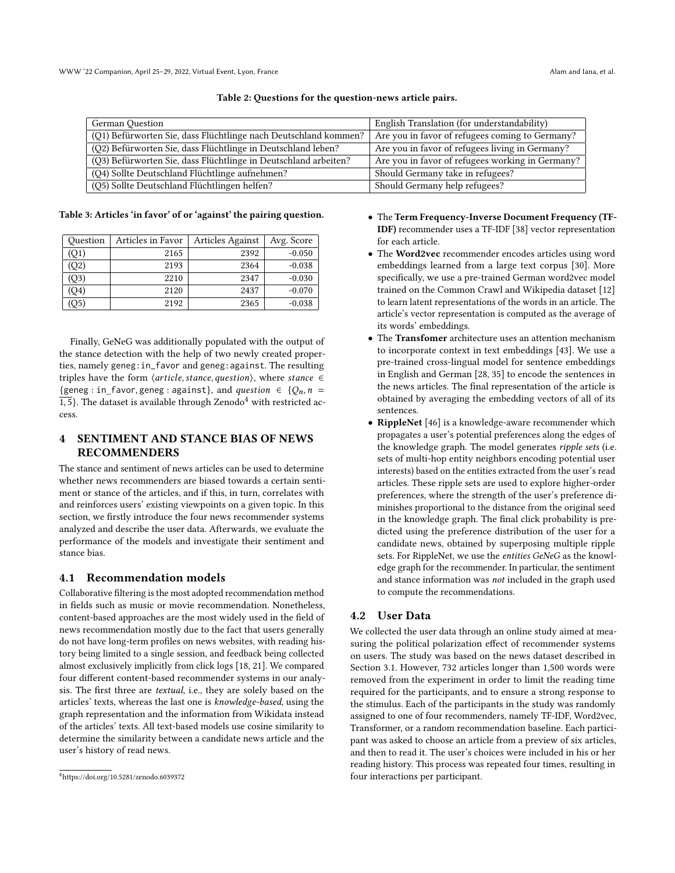<span id="page-3-1"></span>

| English Translation (for understandability)      | German Question                                                 |
|--------------------------------------------------|-----------------------------------------------------------------|
| Are you in favor of refugees coming to Germany?  | (Q1) Befürworten Sie, dass Flüchtlinge nach Deutschland kommen? |
| Are you in favor of refugees living in Germany?  | (Q2) Befürworten Sie, dass Flüchtlinge in Deutschland leben?    |
| Are you in favor of refugees working in Germany? | (Q3) Befürworten Sie, dass Flüchtlinge in Deutschland arbeiten? |
| Should Germany take in refugees?                 | (Q4) Sollte Deutschland Flüchtlinge aufnehmen?                  |
| Should Germany help refugees?                    | (Q5) Sollte Deutschland Flüchtlingen helfen?                    |
|                                                  |                                                                 |

Table 2: Questions for the question-news article pairs.

<span id="page-3-2"></span>Table 3: Articles 'in favor' of or 'against' the pairing question.

| Ouestion       | Articles in Favor | Articles Against | Avg. Score |
|----------------|-------------------|------------------|------------|
| (Q1)           | 2165              | 2392             | $-0.050$   |
| (Q2)           | 2193              | 2364             | $-0.038$   |
| (Q3)           | 2210              | 2347             | $-0.030$   |
| (Q4)           | 2120              | 2437             | $-0.070$   |
| O <sub>5</sub> | 2192              | 2365             | $-0.038$   |

Finally, GeNeG was additionally populated with the output of the stance detection with the help of two newly created properties, namely geneg:in\_favor and geneg:against. The resulting triples have the form  $\langle$  article, stance, question $\rangle$ , where stance  $\in$ {geneg : in\_favor, geneg : against}, and *question*  $\in$  { $Q_n$ ,  $n =$  $\overline{1,5}$ . The dataset is available through Zenodo<sup>[4](#page-3-3)</sup> with restricted access.

## <span id="page-3-0"></span>4 SENTIMENT AND STANCE BIAS OF NEWS **RECOMMENDERS**

The stance and sentiment of news articles can be used to determine whether news recommenders are biased towards a certain sentiment or stance of the articles, and if this, in turn, correlates with and reinforces users' existing viewpoints on a given topic. In this section, we firstly introduce the four news recommender systems analyzed and describe the user data. Afterwards, we evaluate the performance of the models and investigate their sentiment and stance bias.

## 4.1 Recommendation models

Collaborative filtering is the most adopted recommendation method in fields such as music or movie recommendation. Nonetheless, content-based approaches are the most widely used in the field of news recommendation mostly due to the fact that users generally do not have long-term profiles on news websites, with reading history being limited to a single session, and feedback being collected almost exclusively implicitly from click logs [\[18,](#page-8-20) [21\]](#page-8-34). We compared four different content-based recommender systems in our analysis. The first three are textual, i.e., they are solely based on the articles' texts, whereas the last one is knowledge-based, using the graph representation and the information from Wikidata instead of the articles' texts. All text-based models use cosine similarity to determine the similarity between a candidate news article and the user's history of read news.

- The Term Frequency-Inverse Document Frequency (TF-IDF) recommender uses a TF-IDF [\[38\]](#page-8-35) vector representation for each article.
- The Word2vec recommender encodes articles using word embeddings learned from a large text corpus [\[30\]](#page-8-36). More specifically, we use a pre-trained German word2vec model trained on the Common Crawl and Wikipedia dataset [\[12\]](#page-8-37) to learn latent representations of the words in an article. The article's vector representation is computed as the average of its words' embeddings.
- The Transfomer architecture uses an attention mechanism to incorporate context in text embeddings [\[43\]](#page-8-38). We use a pre-trained cross-lingual model for sentence embeddings in English and German [\[28,](#page-8-39) [35\]](#page-8-40) to encode the sentences in the news articles. The final representation of the article is obtained by averaging the embedding vectors of all of its sentences.
- RippleNet [\[46\]](#page-8-41) is a knowledge-aware recommender which propagates a user's potential preferences along the edges of the knowledge graph. The model generates ripple sets (i.e. sets of multi-hop entity neighbors encoding potential user interests) based on the entities extracted from the user's read articles. These ripple sets are used to explore higher-order preferences, where the strength of the user's preference diminishes proportional to the distance from the original seed in the knowledge graph. The final click probability is predicted using the preference distribution of the user for a candidate news, obtained by superposing multiple ripple sets. For RippleNet, we use the entities GeNeG as the knowledge graph for the recommender. In particular, the sentiment and stance information was not included in the graph used to compute the recommendations.

## 4.2 User Data

We collected the user data through an online study aimed at measuring the political polarization effect of recommender systems on users. The study was based on the news dataset described in Section [3.1.](#page-2-4) However, 732 articles longer than 1,500 words were removed from the experiment in order to limit the reading time required for the participants, and to ensure a strong response to the stimulus. Each of the participants in the study was randomly assigned to one of four recommenders, namely TF-IDF, Word2vec, Transformer, or a random recommendation baseline. Each participant was asked to choose an article from a preview of six articles, and then to read it. The user's choices were included in his or her reading history. This process was repeated four times, resulting in four interactions per participant.

<span id="page-3-3"></span><sup>4</sup>[https://doi.org/10.5281/zenodo.6039372](https://doi.org/10.5281/zenodo.6039372 )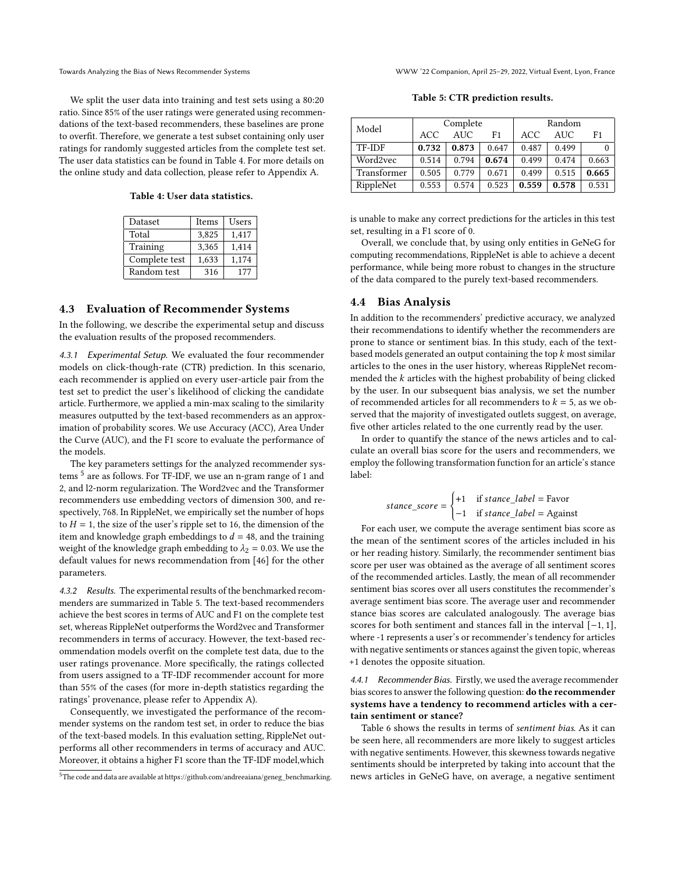We split the user data into training and test sets using a 80:20 ratio. Since 85% of the user ratings were generated using recommendations of the text-based recommenders, these baselines are prone to overfit. Therefore, we generate a test subset containing only user ratings for randomly suggested articles from the complete test set. The user data statistics can be found in Table [4.](#page-4-0) For more details on the online study and data collection, please refer to Appendix [A.](#page-9-1)

<span id="page-4-0"></span>Table 4: User data statistics.

| Dataset       | Items | Users |
|---------------|-------|-------|
| Total         | 3.825 | 1,417 |
| Training      | 3,365 | 1,414 |
| Complete test | 1,633 | 1,174 |
| Random test   | 316   | 177   |

## 4.3 Evaluation of Recommender Systems

In the following, we describe the experimental setup and discuss the evaluation results of the proposed recommenders.

4.3.1 Experimental Setup. We evaluated the four recommender models on click-though-rate (CTR) prediction. In this scenario, each recommender is applied on every user-article pair from the test set to predict the user's likelihood of clicking the candidate article. Furthermore, we applied a min-max scaling to the similarity measures outputted by the text-based recommenders as an approximation of probability scores. We use Accuracy (ACC), Area Under the Curve (AUC), and the F1 score to evaluate the performance of the models.

The key parameters settings for the analyzed recommender systems  $^5$  $^5$  are as follows. For TF-IDF, we use an n-gram range of 1 and 2, and l2-norm regularization. The Word2vec and the Transformer recommenders use embedding vectors of dimension 300, and respectively, 768. In RippleNet, we empirically set the number of hops to  $H = 1$ , the size of the user's ripple set to 16, the dimension of the item and knowledge graph embeddings to  $d = 48$ , and the training weight of the knowledge graph embedding to  $\lambda_2 = 0.03$ . We use the default values for news recommendation from [\[46\]](#page-8-41) for the other parameters.

4.3.2 Results. The experimental results of the benchmarked recommenders are summarized in Table [5.](#page-4-2) The text-based recommenders achieve the best scores in terms of AUC and F1 on the complete test set, whereas RippleNet outperforms the Word2vec and Transformer recommenders in terms of accuracy. However, the text-based recommendation models overfit on the complete test data, due to the user ratings provenance. More specifically, the ratings collected from users assigned to a TF-IDF recommender account for more than 55% of the cases (for more in-depth statistics regarding the ratings' provenance, please refer to Appendix [A\)](#page-9-1).

Consequently, we investigated the performance of the recommender systems on the random test set, in order to reduce the bias of the text-based models. In this evaluation setting, RippleNet outperforms all other recommenders in terms of accuracy and AUC. Moreover, it obtains a higher F1 score than the TF-IDF model,which

Towards Analyzing the Bias of News Recommender Systems WWW '22 Companion, April 25–29, 2022, Virtual Event, Lyon, France

Table 5: CTR prediction results.

<span id="page-4-2"></span>

|             |       | Complete | Random |       |       |       |
|-------------|-------|----------|--------|-------|-------|-------|
| Model       | ACC.  | AUC.     | F1     | ACC   | AUC.  | F1    |
| TF-IDF      | 0.732 | 0.873    | 0.647  | 0.487 | 0.499 |       |
| Word2vec    | 0.514 | 0.794    | 0.674  | 0.499 | 0.474 | 0.663 |
| Transformer | 0.505 | 0.779    | 0.671  | 0.499 | 0.515 | 0.665 |
| RippleNet   | 0.553 | 0.574    | 0.523  | 0.559 | 0.578 | 0.531 |

is unable to make any correct predictions for the articles in this test set, resulting in a F1 score of 0.

Overall, we conclude that, by using only entities in GeNeG for computing recommendations, RippleNet is able to achieve a decent performance, while being more robust to changes in the structure of the data compared to the purely text-based recommenders.

## 4.4 Bias Analysis

In addition to the recommenders' predictive accuracy, we analyzed their recommendations to identify whether the recommenders are prone to stance or sentiment bias. In this study, each of the textbased models generated an output containing the top  $k$  most similar articles to the ones in the user history, whereas RippleNet recommended the  $k$  articles with the highest probability of being clicked by the user. In our subsequent bias analysis, we set the number of recommended articles for all recommenders to  $k = 5$ , as we observed that the majority of investigated outlets suggest, on average, five other articles related to the one currently read by the user.

In order to quantify the stance of the news articles and to calculate an overall bias score for the users and recommenders, we employ the following transformation function for an article's stance label:

$$
stance\_score = \begin{cases} +1 & \text{if }stance\_label = \text{Favor} \\ -1 & \text{if }stance\_label = \text{Again} \end{cases}
$$

For each user, we compute the average sentiment bias score as the mean of the sentiment scores of the articles included in his or her reading history. Similarly, the recommender sentiment bias score per user was obtained as the average of all sentiment scores of the recommended articles. Lastly, the mean of all recommender sentiment bias scores over all users constitutes the recommender's average sentiment bias score. The average user and recommender stance bias scores are calculated analogously. The average bias scores for both sentiment and stances fall in the interval [−1, 1], where -1 represents a user's or recommender's tendency for articles with negative sentiments or stances against the given topic, whereas +1 denotes the opposite situation.

4.4.1 Recommender Bias. Firstly, we used the average recommender bias scores to answer the following question: do the recommender systems have a tendency to recommend articles with a certain sentiment or stance?

Table [6](#page-5-0) shows the results in terms of sentiment bias. As it can be seen here, all recommenders are more likely to suggest articles with negative sentiments. However, this skewness towards negative sentiments should be interpreted by taking into account that the news articles in GeNeG have, on average, a negative sentiment

<span id="page-4-1"></span><sup>5</sup>The code and data are available at https://github.com/andreeaiana/geneg\_benchmarking.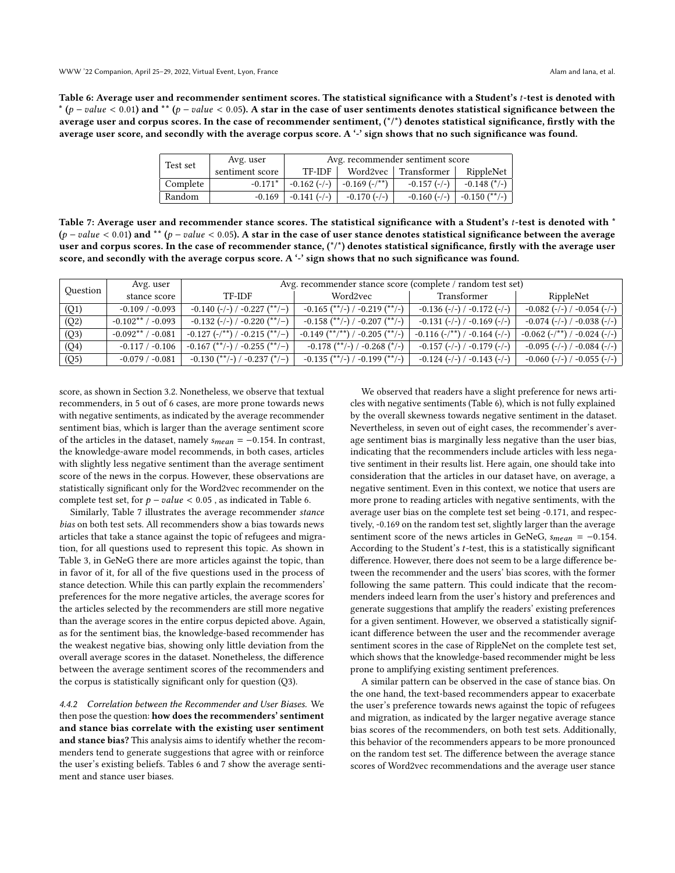WWW '22 Companion, April 25–29, 2022, Virtual Event, Lyon, France Alam and Iana, et al. Alam and Iana, et al.

<span id="page-5-0"></span>Table 6: Average user and recommender sentiment scores. The statistical significance with a Student's t-test is denoted with \* ( $p-value < 0.01$ ) and \*\* ( $p-value < 0.05$ ). A star in the case of user sentiments denotes statistical significance between the average user and corpus scores. In the case of recommender sentiment,  $(*)^*$  denotes statistical significance, firstly with the average user score, and secondly with the average corpus score. A '-' sign shows that no such significance was found.

| Test set | Avg. user       | Avg. recommender sentiment score |                                |                        |                                |
|----------|-----------------|----------------------------------|--------------------------------|------------------------|--------------------------------|
|          | sentiment score | TF-IDF                           |                                | Word2vec   Transformer | RippleNet                      |
| Complete | $-0.171*$       |                                  | $-0.162$ (-/-) $-0.169$ (-/**) | $-0.157$ (-/-)         | $-0.148$ (*/-)                 |
| Random   | $-0.169$        | $-0.141(-/-)$                    | $-0.170$ (-/-)                 |                        | $-0.160$ (-/-) $-0.150$ (**/-) |

<span id="page-5-1"></span>Table 7: Average user and recommender stance scores. The statistical significance with a Student's t-test is denoted with \*  $(p-value < 0.01)$  and \*\*  $(p-value < 0.05)$ . A star in the case of user stance denotes statistical significance between the average user and corpus scores. In the case of recommender stance,  $({}^{*/})$  denotes statistical significance, firstly with the average user score, and secondly with the average corpus score. A '-' sign shows that no such significance was found.

|                   | Avg. user             |                                   | Avg. recommender stance score (complete / random test set) |                                              |                                 |  |
|-------------------|-----------------------|-----------------------------------|------------------------------------------------------------|----------------------------------------------|---------------------------------|--|
| Question          | stance score          | TF-IDF                            | Word2vec                                                   | <b>Transformer</b>                           | RippleNet                       |  |
| (Q1)              | $-0.109 / -0.093$     | $-0.140$ (-/-) / -0.227 (**/-)    | $-0.165$ (**/-) / $-0.219$ (**/-)                          | $-0.136$ (-/-) / $-0.172$ (-/-)              | $-0.082$ (-/-) / $-0.054$ (-/-) |  |
| (Q2)              | $-0.102**$ / $-0.093$ | $-0.132$ (-/-) / -0.220 (**/-)    | $-0.158$ (**/-) / $-0.207$ (**/-)                          | $-0.131$ (-/-) / -0.169 (-/-)                | $-0.074$ (-/-) / -0.038 (-/-)   |  |
| (Q3)              | $-0.092**$ / $-0.081$ | $-0.127$ (-/**) / -0.215 (**/-)   | $-0.149$ (**/**) / $-0.205$ (**/-)                         | $-0.116$ ( $-$ /**) / $-0.164$ ( $-$ / $-$ ) | $-0.062$ (-/**) / -0.024 (-/-)  |  |
| (Q <sub>4</sub> ) | $-0.117 / -0.106$     | $-0.167$ (**/-) / $-0.255$ (**/-) | $-0.178$ (**/-) / $-0.268$ (*/-)                           | $-0.157$ (-/-) / -0.179 (-/-)                | $-0.095$ (-/-) / $-0.084$ (-/-) |  |
| (Q5)              | $-0.079/ -0.081$      | $-0.130$ (**/-) / $-0.237$ (*/-)  | $-0.135$ (**/-) / $-0.199$ (**/-)                          | $-0.124$ (-/-) / -0.143 (-/-)                | $-0.060$ (-/-) / $-0.055$ (-/-) |  |

score, as shown in Section [3.2.](#page-2-5) Nonetheless, we observe that textual recommenders, in 5 out of 6 cases, are more prone towards news with negative sentiments, as indicated by the average recommender sentiment bias, which is larger than the average sentiment score of the articles in the dataset, namely  $s_{mean} = -0.154$ . In contrast, the knowledge-aware model recommends, in both cases, articles with slightly less negative sentiment than the average sentiment score of the news in the corpus. However, these observations are statistically significant only for the Word2vec recommender on the complete test set, for  $p - value < 0.05$ , as indicated in Table [6.](#page-5-0)

Similarly, Table [7](#page-5-1) illustrates the average recommender stance bias on both test sets. All recommenders show a bias towards news articles that take a stance against the topic of refugees and migration, for all questions used to represent this topic. As shown in Table [3,](#page-3-2) in GeNeG there are more articles against the topic, than in favor of it, for all of the five questions used in the process of stance detection. While this can partly explain the recommenders' preferences for the more negative articles, the average scores for the articles selected by the recommenders are still more negative than the average scores in the entire corpus depicted above. Again, as for the sentiment bias, the knowledge-based recommender has the weakest negative bias, showing only little deviation from the overall average scores in the dataset. Nonetheless, the difference between the average sentiment scores of the recommenders and the corpus is statistically significant only for question (Q3).

4.4.2 Correlation between the Recommender and User Biases. We then pose the question: how does the recommenders' sentiment and stance bias correlate with the existing user sentiment and stance bias? This analysis aims to identify whether the recommenders tend to generate suggestions that agree with or reinforce the user's existing beliefs. Tables [6](#page-5-0) and [7](#page-5-1) show the average sentiment and stance user biases.

We observed that readers have a slight preference for news articles with negative sentiments (Table [6\)](#page-5-0), which is not fully explained by the overall skewness towards negative sentiment in the dataset. Nevertheless, in seven out of eight cases, the recommender's average sentiment bias is marginally less negative than the user bias, indicating that the recommenders include articles with less negative sentiment in their results list. Here again, one should take into consideration that the articles in our dataset have, on average, a negative sentiment. Even in this context, we notice that users are more prone to reading articles with negative sentiments, with the average user bias on the complete test set being -0.171, and respectively, -0.169 on the random test set, slightly larger than the average sentiment score of the news articles in GeNeG,  $s_{mean} = -0.154$ . According to the Student's  $t$ -test, this is a statistically significant difference. However, there does not seem to be a large difference between the recommender and the users' bias scores, with the former following the same pattern. This could indicate that the recommenders indeed learn from the user's history and preferences and generate suggestions that amplify the readers' existing preferences for a given sentiment. However, we observed a statistically significant difference between the user and the recommender average sentiment scores in the case of RippleNet on the complete test set, which shows that the knowledge-based recommender might be less prone to amplifying existing sentiment preferences.

A similar pattern can be observed in the case of stance bias. On the one hand, the text-based recommenders appear to exacerbate the user's preference towards news against the topic of refugees and migration, as indicated by the larger negative average stance bias scores of the recommenders, on both test sets. Additionally, this behavior of the recommenders appears to be more pronounced on the random test set. The difference between the average stance scores of Word2vec recommendations and the average user stance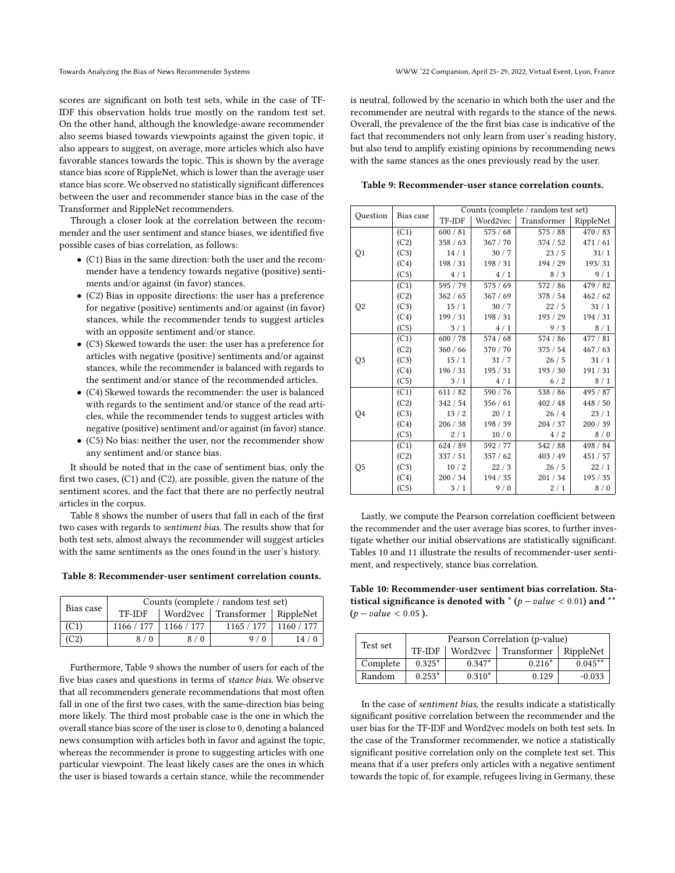scores are significant on both test sets, while in the case of TF-IDF this observation holds true mostly on the random test set. On the other hand, although the knowledge-aware recommender also seems biased towards viewpoints against the given topic, it also appears to suggest, on average, more articles which also have favorable stances towards the topic. This is shown by the average stance bias score of RippleNet, which is lower than the average user stance bias score. We observed no statistically significant differences between the user and recommender stance bias in the case of the Transformer and RippleNet recommenders.

Through a closer look at the correlation between the recommender and the user sentiment and stance biases, we identified five possible cases of bias correlation, as follows:

- (C1) Bias in the same direction: both the user and the recommender have a tendency towards negative (positive) sentiments and/or against (in favor) stances.
- (C2) Bias in opposite directions: the user has a preference for negative (positive) sentiments and/or against (in favor) stances, while the recommender tends to suggest articles with an opposite sentiment and/or stance.
- (C3) Skewed towards the user: the user has a preference for articles with negative (positive) sentiments and/or against stances, while the recommender is balanced with regards to the sentiment and/or stance of the recommended articles.
- (C4) Skewed towards the recommender: the user is balanced with regards to the sentiment and/or stance of the read articles, while the recommender tends to suggest articles with negative (positive) sentiment and/or against (in favor) stance.
- (C5) No bias: neither the user, nor the recommender show any sentiment and/or stance bias.

It should be noted that in the case of sentiment bias, only the first two cases, (C1) and (C2), are possible, given the nature of the sentiment scores, and the fact that there are no perfectly neutral articles in the corpus.

Table [8](#page-6-0) shows the number of users that fall in each of the first two cases with regards to sentiment bias. The results show that for both test sets, almost always the recommender will suggest articles with the same sentiments as the ones found in the user's history.

<span id="page-6-0"></span>Table 8: Recommender-user sentiment correlation counts.

| Bias case | Counts (complete / random test set) |            |                                    |      |  |
|-----------|-------------------------------------|------------|------------------------------------|------|--|
|           | TF-IDF                              |            | Word2vec   Transformer   RippleNet |      |  |
| (C1)      | 1166 / 177                          | 1166 / 177 | $1165 / 177$   1160 / 177          |      |  |
| (C2)      | 8/0                                 | 8/0        | 9/0                                | 14/0 |  |

Furthermore, Table [9](#page-6-1) shows the number of users for each of the five bias cases and questions in terms of stance bias. We observe that all recommenders generate recommendations that most often fall in one of the first two cases, with the same-direction bias being more likely. The third most probable case is the one in which the overall stance bias score of the user is close to 0, denoting a balanced news consumption with articles both in favor and against the topic, whereas the recommender is prone to suggesting articles with one particular viewpoint. The least likely cases are the ones in which the user is biased towards a certain stance, while the recommender

is neutral, followed by the scenario in which both the user and the recommender are neutral with regards to the stance of the news. Overall, the prevalence of the the first bias case is indicative of the fact that recommenders not only learn from user's reading history, but also tend to amplify existing opinions by recommending news with the same stances as the ones previously read by the user.

<span id="page-6-1"></span>Table 9: Recommender-user stance correlation counts.

|                | Bias case |          |          | Counts (complete / random test set) |           |
|----------------|-----------|----------|----------|-------------------------------------|-----------|
| Question       |           | TF-IDF   | Word2vec | Transformer                         | RippleNet |
|                | (C1)      | 600 / 81 | 575/68   | 575/88                              | 470/83    |
|                | (C2)      | 358 / 63 | 367 / 70 | 374/52                              | 471/61    |
| Q1             | (C3)      | 14/1     | 30/7     | 23/5                                | 31/1      |
|                | (C4)      | 198 / 31 | 198/31   | 194 / 29                            | 193/31    |
|                | (C5)      | 4/1      | 4/1      | 8/3                                 | 9/1       |
|                | (C1)      | 595 / 79 | 575/69   | 572/86                              | 479 / 82  |
|                | (C2)      | 362 / 65 | 367/69   | 378 / 54                            | 462 / 62  |
| Q2             | (C3)      | 15/1     | 30/7     | 22/5                                | 31/1      |
|                | (C4)      | 199/31   | 198/31   | 193 / 29                            | 194/31    |
|                | (C5)      | 3/1      | 4/1      | 9/3                                 | 8/1       |
|                | (C1)      | 600 / 78 | 574/68   | 574 / 86                            | 477 / 81  |
|                | (C2)      | 360 / 66 | 370 / 70 | 375/54                              | 467/63    |
| Q <sub>3</sub> | (C3)      | 15/1     | 31/7     | 26/5                                | 31/1      |
|                | (C4)      | 196 / 31 | 195/31   | 193 / 30                            | 191/31    |
|                | (C5)      | 3/1      | 4/1      | 6/2                                 | 8/1       |
|                | (C1)      | 611/82   | 590 / 76 | 538/86                              | 495 / 87  |
|                | (C2)      | 342 / 54 | 356/61   | 402 / 48                            | 448 / 50  |
| Q4             | (C3)      | 13/2     | 20/1     | 26/4                                | 23/1      |
|                | (C4)      | 206 / 38 | 198 / 39 | 204 / 37                            | 200 / 39  |
|                | (C5)      | 2/1      | 10/0     | 4/2                                 | 8/0       |
|                | (C1)      | 624 / 89 | 592 / 77 | 542/88                              | 498 / 84  |
| Q5             | (C2)      | 337/51   | 357/62   | 403 / 49                            | 451 / 57  |
|                | (C3)      | 10/2     | 22/3     | 26/5                                | 22/1      |
|                | (C4)      | 200 / 34 | 194 / 35 | 201 / 34                            | 195/35    |
|                | (C5)      | 3/1      | 9/0      | 2/1                                 | 8/0       |

Lastly, we compute the Pearson correlation coefficient between the recommender and the user average bias scores, to further investigate whether our initial observations are statistically significant. Tables [10](#page-6-2) and [11](#page-7-4) illustrate the results of recommender-user sentiment, and respectively, stance bias correlation.

<span id="page-6-2"></span>Table 10: Recommender-user sentiment bias correlation. Statistical significance is denoted with  $*(p-value < 0.01)$  and  $**$  $(p-value < 0.05)$ .

| Test set | Pearson Correlation (p-value) |          |                        |                   |  |
|----------|-------------------------------|----------|------------------------|-------------------|--|
|          | TF-IDF                        |          | Word2vec   Transformer | $\vert$ RippleNet |  |
| Complete | $0.325*$                      | $0.347*$ | $0.216*$               | $0.045**$         |  |
| Random   | $0.253*$                      | $0.310*$ | 0.129                  | $-0.033$          |  |

In the case of sentiment bias, the results indicate a statistically significant positive correlation between the recommender and the user bias for the TF-IDF and Word2vec models on both test sets. In the case of the Transformer recommender, we notice a statistically significant positive correlation only on the complete test set. This means that if a user prefers only articles with a negative sentiment towards the topic of, for example, refugees living in Germany, these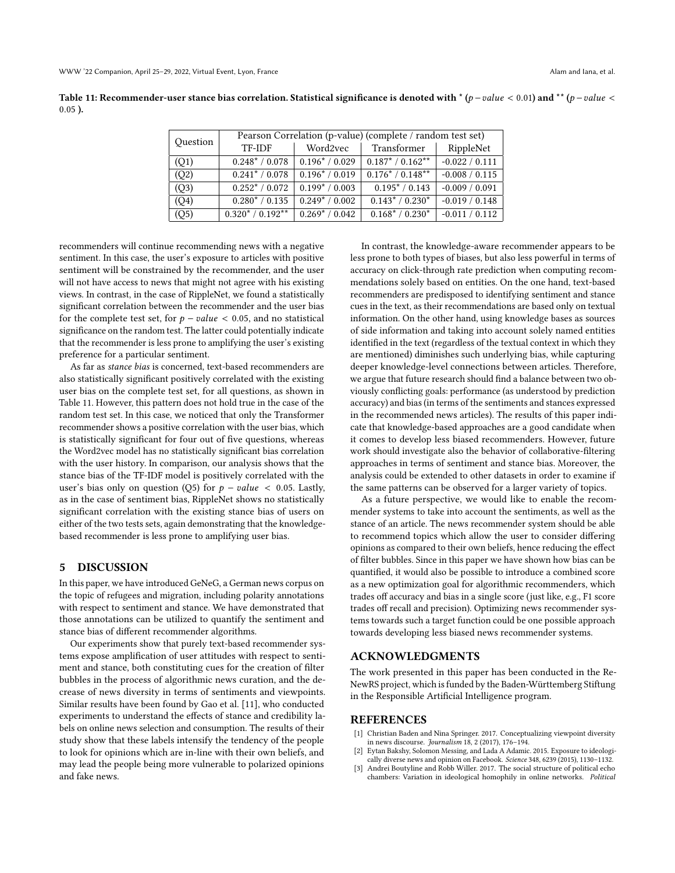<span id="page-7-4"></span>Table 11: Recommender-user stance bias correlation. Statistical significance is denoted with \* ( $p-value < 0.01$ ) and \*\* ( $p-value < 0.01$ ) 0.05 ).

| Question | Pearson Correlation (p-value) (complete / random test set) |                  |                            |                  |  |
|----------|------------------------------------------------------------|------------------|----------------------------|------------------|--|
|          | TF-IDF                                                     | Word2vec         | Transformer                | RippleNet        |  |
| (Q1)     | $0.248* / 0.078$                                           | $0.196* / 0.029$ | $0.187^* / 0.162^{**}$     | $-0.022 / 0.111$ |  |
| (Q2)     | $0.241* / 0.078$                                           | $0.196* / 0.019$ | $0.176* / 0.148**$         | $-0.008 / 0.115$ |  |
| (Q3)     | $0.252* / 0.072$                                           | $0.199* / 0.003$ | $\overline{0.195}^*/0.143$ | $-0.009 / 0.091$ |  |
| (Q4)     | $0.280* / 0.135$                                           | $0.249* / 0.002$ | $0.143* / 0.230*$          | $-0.019 / 0.148$ |  |
| (Q5)     | $0.320* / 0.192**$                                         | $0.269* / 0.042$ | $0.168* / 0.230*$          | $-0.011 / 0.112$ |  |

recommenders will continue recommending news with a negative sentiment. In this case, the user's exposure to articles with positive sentiment will be constrained by the recommender, and the user will not have access to news that might not agree with his existing views. In contrast, in the case of RippleNet, we found a statistically significant correlation between the recommender and the user bias for the complete test set, for  $p - value < 0.05$ , and no statistical significance on the random test. The latter could potentially indicate that the recommender is less prone to amplifying the user's existing preference for a particular sentiment.

As far as stance bias is concerned, text-based recommenders are also statistically significant positively correlated with the existing user bias on the complete test set, for all questions, as shown in Table [11.](#page-7-4) However, this pattern does not hold true in the case of the random test set. In this case, we noticed that only the Transformer recommender shows a positive correlation with the user bias, which is statistically significant for four out of five questions, whereas the Word2vec model has no statistically significant bias correlation with the user history. In comparison, our analysis shows that the stance bias of the TF-IDF model is positively correlated with the user's bias only on question (Q5) for  $p - value < 0.05$ . Lastly, as in the case of sentiment bias, RippleNet shows no statistically significant correlation with the existing stance bias of users on either of the two tests sets, again demonstrating that the knowledgebased recommender is less prone to amplifying user bias.

#### <span id="page-7-3"></span>5 DISCUSSION

In this paper, we have introduced GeNeG, a German news corpus on the topic of refugees and migration, including polarity annotations with respect to sentiment and stance. We have demonstrated that those annotations can be utilized to quantify the sentiment and stance bias of different recommender algorithms.

Our experiments show that purely text-based recommender systems expose amplification of user attitudes with respect to sentiment and stance, both constituting cues for the creation of filter bubbles in the process of algorithmic news curation, and the decrease of news diversity in terms of sentiments and viewpoints. Similar results have been found by Gao et al. [\[11\]](#page-8-42), who conducted experiments to understand the effects of stance and credibility labels on online news selection and consumption. The results of their study show that these labels intensify the tendency of the people to look for opinions which are in-line with their own beliefs, and may lead the people being more vulnerable to polarized opinions and fake news.

In contrast, the knowledge-aware recommender appears to be less prone to both types of biases, but also less powerful in terms of accuracy on click-through rate prediction when computing recommendations solely based on entities. On the one hand, text-based recommenders are predisposed to identifying sentiment and stance cues in the text, as their recommendations are based only on textual information. On the other hand, using knowledge bases as sources of side information and taking into account solely named entities identified in the text (regardless of the textual context in which they are mentioned) diminishes such underlying bias, while capturing deeper knowledge-level connections between articles. Therefore, we argue that future research should find a balance between two obviously conflicting goals: performance (as understood by prediction accuracy) and bias (in terms of the sentiments and stances expressed in the recommended news articles). The results of this paper indicate that knowledge-based approaches are a good candidate when it comes to develop less biased recommenders. However, future work should investigate also the behavior of collaborative-filtering approaches in terms of sentiment and stance bias. Moreover, the analysis could be extended to other datasets in order to examine if the same patterns can be observed for a larger variety of topics.

As a future perspective, we would like to enable the recommender systems to take into account the sentiments, as well as the stance of an article. The news recommender system should be able to recommend topics which allow the user to consider differing opinions as compared to their own beliefs, hence reducing the effect of filter bubbles. Since in this paper we have shown how bias can be quantified, it would also be possible to introduce a combined score as a new optimization goal for algorithmic recommenders, which trades off accuracy and bias in a single score (just like, e.g., F1 score trades off recall and precision). Optimizing news recommender systems towards such a target function could be one possible approach towards developing less biased news recommender systems.

#### ACKNOWLEDGMENTS

The work presented in this paper has been conducted in the Re-NewRS project, which is funded by the Baden-Württemberg Stiftung in the Responsible Artificial Intelligence program.

#### REFERENCES

- <span id="page-7-2"></span>[1] Christian Baden and Nina Springer. 2017. Conceptualizing viewpoint diversity in news discourse. Journalism 18, 2 (2017), 176–194.
- <span id="page-7-0"></span>Eytan Bakshy, Solomon Messing, and Lada A Adamic. 2015. Exposure to ideologically diverse news and opinion on Facebook. Science 348, 6239 (2015), 1130–1132.
- <span id="page-7-1"></span>[3] Andrei Boutyline and Robb Willer. 2017. The social structure of political echo chambers: Variation in ideological homophily in online networks. Political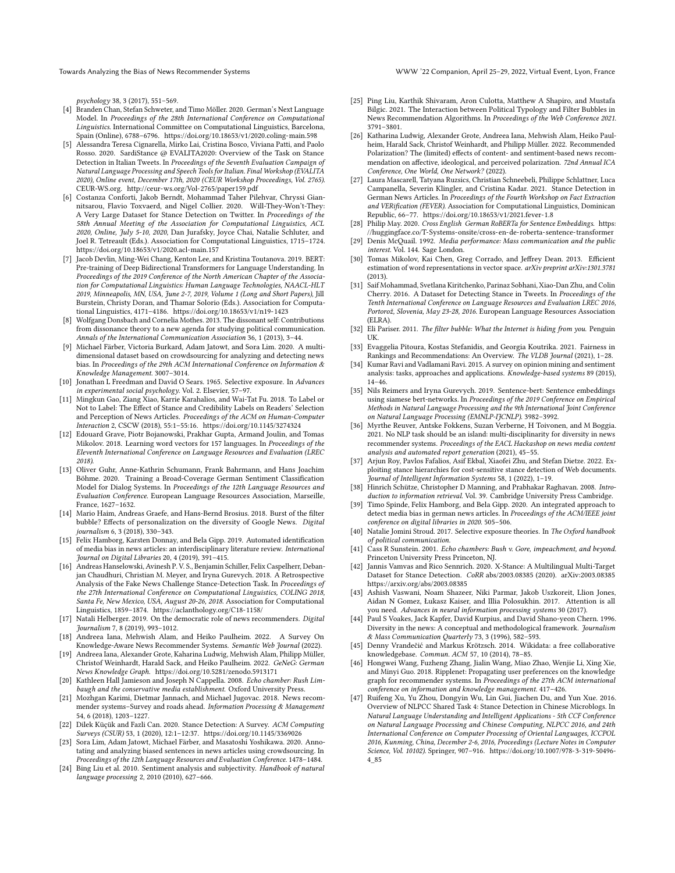Towards Analyzing the Bias of News Recommender Systems WWW '22 Companion, April 25–29, 2022, Virtual Event, Lyon, France

psychology 38, 3 (2017), 551–569.

- <span id="page-8-33"></span>[4] Branden Chan, Stefan Schweter, and Timo Möller. 2020. German's Next Language Model. In Proceedings of the 28th International Conference on Computational Linguistics. International Committee on Computational Linguistics, Barcelona, Spain (Online), 6788–6796.<https://doi.org/10.18653/v1/2020.coling-main.598>
- <span id="page-8-25"></span>[5] Alessandra Teresa Cignarella, Mirko Lai, Cristina Bosco, Viviana Patti, and Paolo Rosso. 2020. SardiStance @ EVALITA2020: Overview of the Task on Stance Detection in Italian Tweets. In Proceedings of the Seventh Evaluation Campaign of Natural Language Processing and Speech Tools for Italian. Final Workshop (EVALITA 2020), Online event, December 17th, 2020 (CEUR Workshop Proceedings, Vol. 2765). CEUR-WS.org.<http://ceur-ws.org/Vol-2765/paper159.pdf>
- <span id="page-8-21"></span>[6] Costanza Conforti, Jakob Berndt, Mohammad Taher Pilehvar, Chryssi Giannitsarou, Flavio Toxvaerd, and Nigel Collier. 2020. Will-They-Won't-They: A Very Large Dataset for Stance Detection on Twitter. In Proceedings of the 58th Annual Meeting of the Association for Computational Linguistics, ACL 2020, Online, July 5-10, 2020, Dan Jurafsky, Joyce Chai, Natalie Schluter, and Joel R. Tetreault (Eds.). Association for Computational Linguistics, 1715–1724. <https://doi.org/10.18653/v1/2020.acl-main.157>
- <span id="page-8-28"></span>[7] Jacob Devlin, Ming-Wei Chang, Kenton Lee, and Kristina Toutanova. 2019. BERT: Pre-training of Deep Bidirectional Transformers for Language Understanding. In Proceedings of the 2019 Conference of the North American Chapter of the Association for Computational Linguistics: Human Language Technologies, NAACL-HLT 2019, Minneapolis, MN, USA, June 2-7, 2019, Volume 1 (Long and Short Papers), Jill Burstein, Christy Doran, and Thamar Solorio (Eds.). Association for Computational Linguistics, 4171–4186.<https://doi.org/10.18653/v1/n19-1423>
- <span id="page-8-4"></span>[8] Wolfgang Donsbach and Cornelia Mothes. 2013. The dissonant self: Contributions from dissonance theory to a new agenda for studying political communication. Annals of the International Communication Association 36, 1 (2013), 3–44.
- <span id="page-8-11"></span>[9] Michael Färber, Victoria Burkard, Adam Jatowt, and Sora Lim. 2020. A multidimensional dataset based on crowdsourcing for analyzing and detecting news bias. In Proceedings of the 29th ACM International Conference on Information & Knowledge Management. 3007–3014.
- <span id="page-8-1"></span>[10] Jonathan L Freedman and David O Sears. 1965. Selective exposure. In Advances in experimental social psychology. Vol. 2. Elsevier, 57–97.
- <span id="page-8-42"></span>[11] Mingkun Gao, Ziang Xiao, Karrie Karahalios, and Wai-Tat Fu. 2018. To Label or Not to Label: The Effect of Stance and Credibility Labels on Readers' Selection and Perception of News Articles. Proceedings of the ACM on Human-Computer Interaction 2, CSCW (2018), 55:1–55:16.<https://doi.org/10.1145/3274324>
- <span id="page-8-37"></span>[12] Edouard Grave, Piotr Bojanowski, Prakhar Gupta, Armand Joulin, and Tomas Mikolov. 2018. Learning word vectors for 157 languages. In Proceedings of the Eleventh International Conference on Language Resources and Evaluation (LREC 2018).
- <span id="page-8-31"></span>[13] Oliver Guhr, Anne-Kathrin Schumann, Frank Bahrmann, and Hans Joachim Böhme. 2020. Training a Broad-Coverage German Sentiment Classification Model for Dialog Systems. In Proceedings of the 12th Language Resources and Evaluation Conference. European Language Resources Association, Marseille, France, 1627–1632.
- <span id="page-8-9"></span>[14] Mario Haim, Andreas Graefe, and Hans-Bernd Brosius. 2018. Burst of the filter bubble? Effects of personalization on the diversity of Google News. Digital journalism 6, 3 (2018), 330–343.
- <span id="page-8-14"></span>[15] Felix Hamborg, Karsten Donnay, and Bela Gipp. 2019. Automated identification of media bias in news articles: an interdisciplinary literature review. International Journal on Digital Libraries 20, 4 (2019), 391–415.
- <span id="page-8-23"></span>[16] Andreas Hanselowski, Avinesh P. V. S., Benjamin Schiller, Felix Caspelherr, Debanjan Chaudhuri, Christian M. Meyer, and Iryna Gurevych. 2018. A Retrospective Analysis of the Fake News Challenge Stance-Detection Task. In Proceedings of the 27th International Conference on Computational Linguistics, COLING 2018, Santa Fe, New Mexico, USA, August 20-26, 2018. Association for Computational Linguistics, 1859–1874.<https://aclanthology.org/C18-1158/>
- <span id="page-8-8"></span>[17] Natali Helberger. 2019. On the democratic role of news recommenders. Digital Journalism 7, 8 (2019), 993–1012.
- <span id="page-8-20"></span>[18] Andreea Iana, Mehwish Alam, and Heiko Paulheim. 2022. A Survey On Knowledge-Aware News Recommender Systems. Semantic Web Journal (2022).
- <span id="page-8-29"></span>[19] Andreea Iana, Alexander Grote, Kaharina Ludwig, Mehwish Alam, Philipp Müller, Christof Weinhardt, Harald Sack, and Heiko Paulheim. 2022. GeNeG: German News Knowledge Graph.<https://doi.org/10.5281/zenodo.5913171>
- <span id="page-8-2"></span>[20] Kathleen Hall Jamieson and Joseph N Cappella. 2008. Echo chamber: Rush Limbaugh and the conservative media establishment. Oxford University Press.
- <span id="page-8-34"></span>[21] Mozhgan Karimi, Dietmar Jannach, and Michael Jugovac. 2018. News recommender systems–Survey and roads ahead. Information Processing & Management 54, 6 (2018), 1203–1227.
- <span id="page-8-17"></span>[22] Dilek Küçük and Fazli Can. 2020. Stance Detection: A Survey. ACM Computing Surveys (CSUR) 53, 1 (2020), 12:1–12:37.<https://doi.org/10.1145/3369026>
- <span id="page-8-12"></span>[23] Sora Lim, Adam Jatowt, Michael Färber, and Masatoshi Yoshikawa. 2020. Annotating and analyzing biased sentences in news articles using crowdsourcing. In Proceedings of the 12th Language Resources and Evaluation Conference. 1478–1484.
- <span id="page-8-15"></span>[24] Bing Liu et al. 2010. Sentiment analysis and subjectivity. Handbook of natural language processing 2, 2010 (2010), 627–666.
- <span id="page-8-6"></span>[25] Ping Liu, Karthik Shivaram, Aron Culotta, Matthew A Shapiro, and Mustafa Bilgic. 2021. The Interaction between Political Typology and Filter Bubbles in News Recommendation Algorithms. In Proceedings of the Web Conference 2021. 3791–3801.
- <span id="page-8-43"></span>[26] Katharina Ludwig, Alexander Grote, Andreea Iana, Mehwish Alam, Heiko Paulheim, Harald Sack, Christof Weinhardt, and Philipp Müller. 2022. Recommended Polarization? The (limited) effects of content- and sentiment-based news recommendation on affective, ideological, and perceived polarization. 72nd Annual ICA Conference, One World, One Network? (2022).
- <span id="page-8-24"></span>[27] Laura Mascarell, Tatyana Ruzsics, Christian Schneebeli, Philippe Schlattner, Luca Campanella, Severin Klingler, and Cristina Kadar. 2021. Stance Detection in German News Articles. In Proceedings of the Fourth Workshop on Fact Extraction and VERification (FEVER). Association for Computational Linguistics, Dominican Republic, 66–77.<https://doi.org/10.18653/v1/2021.fever-1.8>
- <span id="page-8-39"></span>[28] Philip May. 2020. Cross English German RoBERTa for Sentence Embeddings. [https:](https://huggingface.co/T-Systems-onsite/cross-en-de-roberta-sentence-transformer) [//huggingface.co/T-Systems-onsite/cross-en-de-roberta-sentence-transformer](https://huggingface.co/T-Systems-onsite/cross-en-de-roberta-sentence-transformer)
- <span id="page-8-7"></span>[29] Denis McQuail. 1992. Media performance: Mass communication and the public interest. Vol. 144. Sage London.
- <span id="page-8-36"></span>[30] Tomas Mikolov, Kai Chen, Greg Corrado, and Jeffrey Dean. 2013. Efficient estimation of word representations in vector space. arXiv preprint arXiv:1301.3781 (2013).
- <span id="page-8-22"></span>[31] Saif Mohammad, Svetlana Kiritchenko, Parinaz Sobhani, Xiao-Dan Zhu, and Colin Cherry. 2016. A Dataset for Detecting Stance in Tweets. In Proceedings of the Tenth International Conference on Language Resources and Evaluation LREC 2016, Portorož, Slovenia, May 23-28, 2016. European Language Resources Association (ELRA).
- <span id="page-8-0"></span>[32] Eli Pariser. 2011. The filter bubble: What the Internet is hiding from you. Penguin UK.
- <span id="page-8-19"></span>[33] Evaggelia Pitoura, Kostas Stefanidis, and Georgia Koutrika. 2021. Fairness in Rankings and Recommendations: An Overview. The VLDB Journal (2021), 1–28.
- <span id="page-8-16"></span>[34] Kumar Ravi and Vadlamani Ravi. 2015. A survey on opinion mining and sentiment analysis: tasks, approaches and applications. Knowledge-based systems 89 (2015), 14–46.
- <span id="page-8-40"></span>[35] Nils Reimers and Iryna Gurevych. 2019. Sentence-bert: Sentence embeddings using siamese bert-networks. In Proceedings of the 2019 Conference on Empirical Methods in Natural Language Processing and the 9th International Joint Conference on Natural Language Processing (EMNLP-IJCNLP). 3982–3992.
- <span id="page-8-18"></span>[36] Myrthe Reuver, Antske Fokkens, Suzan Verberne, H Toivonen, and M Boggia. 2021. No NLP task should be an island: multi-disciplinarity for diversity in news recommender systems. Proceedings of the EACL Hackashop on news media content analysis and automated report generation (2021), 45–55.
- <span id="page-8-32"></span>[37] Arjun Roy, Pavlos Fafalios, Asif Ekbal, Xiaofei Zhu, and Stefan Dietze. 2022. Exploiting stance hierarchies for cost-sensitive stance detection of Web documents. Journal of Intelligent Information Systems 58, 1 (2022), 1–19.
- <span id="page-8-35"></span>[38] Hinrich Schütze, Christopher D Manning, and Prabhakar Raghavan. 2008. Introduction to information retrieval. Vol. 39. Cambridge University Press Cambridge.
- <span id="page-8-13"></span>[39] Timo Spinde, Felix Hamborg, and Bela Gipp. 2020. An integrated approach to detect media bias in german news articles. In Proceedings of the ACM/IEEE joint conference on digital libraries in 2020. 505–506.
- <span id="page-8-5"></span>[40] Natalie Jomini Stroud. 2017. Selective exposure theories. In The Oxford handbook of political communication.
- <span id="page-8-3"></span>[41] Cass R Sunstein. 2001. Echo chambers: Bush v. Gore, impeachment, and beyond. Princeton University Press Princeton, NJ.
- <span id="page-8-27"></span>[42] Jannis Vamvas and Rico Sennrich. 2020. X-Stance: A Multilingual Multi-Target Dataset for Stance Detection. CoRR abs/2003.08385 (2020). arXiv[:2003.08385](https://arxiv.org/abs/2003.08385) <https://arxiv.org/abs/2003.08385>
- <span id="page-8-38"></span>[43] Ashish Vaswani, Noam Shazeer, Niki Parmar, Jakob Uszkoreit, Llion Jones, Aidan N Gomez, Łukasz Kaiser, and Illia Polosukhin. 2017. Attention is all you need. Advances in neural information processing systems 30 (2017).
- <span id="page-8-10"></span>[44] Paul S Voakes, Jack Kapfer, David Kurpius, and David Shano-yeon Chern. 1996. Diversity in the news: A conceptual and methodological framework. Journalism & Mass Communication Quarterly 73, 3 (1996), 582–593.
- <span id="page-8-30"></span>[45] Denny Vrandečić and Markus Krötzsch. 2014. Wikidata: a free collaborative knowledgebase. Commun. ACM 57, 10 (2014), 78–85.
- <span id="page-8-41"></span>[46] Hongwei Wang, Fuzheng Zhang, Jialin Wang, Miao Zhao, Wenjie Li, Xing Xie, and Minyi Guo. 2018. Ripplenet: Propagating user preferences on the knowledge graph for recommender systems. In Proceedings of the 27th ACM international conference on information and knowledge management. 417–426.
- <span id="page-8-26"></span>[47] Ruifeng Xu, Yu Zhou, Dongyin Wu, Lin Gui, Jiachen Du, and Yun Xue. 2016. Overview of NLPCC Shared Task 4: Stance Detection in Chinese Microblogs. In Natural Language Understanding and Intelligent Applications - 5th CCF Conference on Natural Language Processing and Chinese Computing, NLPCC 2016, and 24th International Conference on Computer Processing of Oriental Languages, ICCPOL 2016, Kunming, China, December 2-6, 2016, Proceedings (Lecture Notes in Computer Science, Vol. 10102). Springer, 907–916. [https://doi.org/10.1007/978-3-319-50496-](https://doi.org/10.1007/978-3-319-50496-4_85) [4\\_85](https://doi.org/10.1007/978-3-319-50496-4_85)